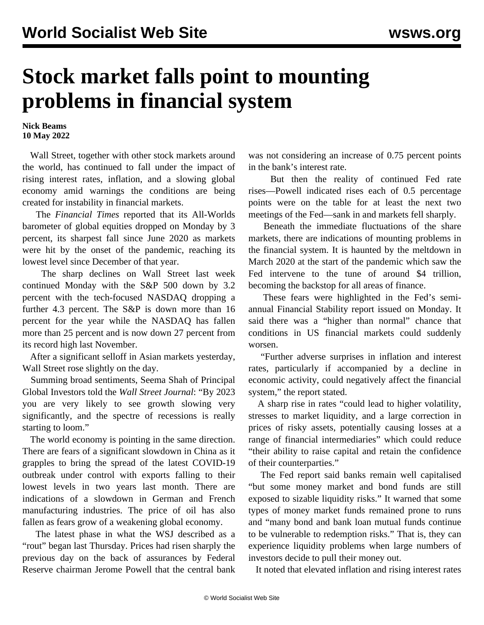## **Stock market falls point to mounting problems in financial system**

**Nick Beams 10 May 2022**

 Wall Street, together with other stock markets around the world, has continued to fall under the impact of rising interest rates, inflation, and a slowing global economy amid warnings the conditions are being created for instability in financial markets.

 The *Financial Times* reported that its All-Worlds barometer of global equities dropped on Monday by 3 percent, its sharpest fall since June 2020 as markets were hit by the onset of the pandemic, reaching its lowest level since December of that year.

 The sharp declines on Wall Street last week continued Monday with the S&P 500 down by 3.2 percent with the tech-focused NASDAQ dropping a further 4.3 percent. The S&P is down more than 16 percent for the year while the NASDAQ has fallen more than 25 percent and is now down 27 percent from its record high last November.

 After a significant selloff in Asian markets yesterday, Wall Street rose slightly on the day.

 Summing broad sentiments, Seema Shah of Principal Global Investors told the *Wall Street Journal*: "By 2023 you are very likely to see growth slowing very significantly, and the spectre of recessions is really starting to loom."

 The world economy is pointing in the same direction. There are fears of a significant slowdown in China as it grapples to bring the spread of the latest COVID-19 outbreak under control with exports falling to their lowest levels in two years last month. There are indications of a slowdown in German and French manufacturing industries. The price of oil has also fallen as fears grow of a weakening global economy.

 The latest phase in what the WSJ described as a "rout" began last Thursday. Prices had risen sharply the previous day on the back of assurances by Federal Reserve chairman Jerome Powell that the central bank was not considering an increase of 0.75 percent points in the bank's interest rate.

 But then the reality of continued Fed rate rises—Powell indicated rises each of 0.5 percentage points were on the table for at least the next two meetings of the Fed—sank in and markets fell sharply.

 Beneath the immediate fluctuations of the share markets, there are indications of mounting problems in the financial system. It is haunted by the meltdown in March 2020 at the start of the pandemic which saw the Fed intervene to the tune of around \$4 trillion, becoming the backstop for all areas of finance.

 These fears were highlighted in the Fed's semiannual Financial Stability report issued on Monday. It said there was a "higher than normal" chance that conditions in US financial markets could suddenly worsen.

 "Further adverse surprises in inflation and interest rates, particularly if accompanied by a decline in economic activity, could negatively affect the financial system," the report stated.

 A sharp rise in rates "could lead to higher volatility, stresses to market liquidity, and a large correction in prices of risky assets, potentially causing losses at a range of financial intermediaries" which could reduce "their ability to raise capital and retain the confidence of their counterparties."

 The Fed report said banks remain well capitalised "but some money market and bond funds are still exposed to sizable liquidity risks." It warned that some types of money market funds remained prone to runs and "many bond and bank loan mutual funds continue to be vulnerable to redemption risks." That is, they can experience liquidity problems when large numbers of investors decide to pull their money out.

It noted that elevated inflation and rising interest rates